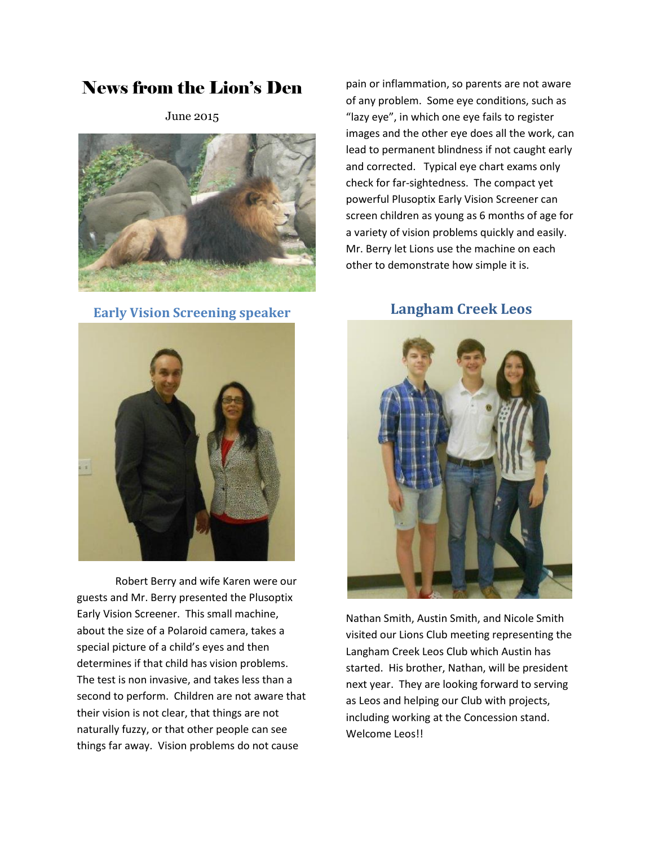# News from the Lion's Den

June 2015



**Early Vision Screening speaker**



Robert Berry and wife Karen were our guests and Mr. Berry presented the Plusoptix Early Vision Screener. This small machine, about the size of a Polaroid camera, takes a special picture of a child's eyes and then determines if that child has vision problems. The test is non invasive, and takes less than a second to perform. Children are not aware that their vision is not clear, that things are not naturally fuzzy, or that other people can see things far away. Vision problems do not cause

pain or inflammation, so parents are not aware of any problem. Some eye conditions, such as "lazy eye", in which one eye fails to register images and the other eye does all the work, can lead to permanent blindness if not caught early and corrected. Typical eye chart exams only check for far-sightedness. The compact yet powerful Plusoptix Early Vision Screener can screen children as young as 6 months of age for a variety of vision problems quickly and easily. Mr. Berry let Lions use the machine on each other to demonstrate how simple it is.

## **Langham Creek Leos**



Nathan Smith, Austin Smith, and Nicole Smith visited our Lions Club meeting representing the Langham Creek Leos Club which Austin has started. His brother, Nathan, will be president next year. They are looking forward to serving as Leos and helping our Club with projects, including working at the Concession stand. Welcome Leos!!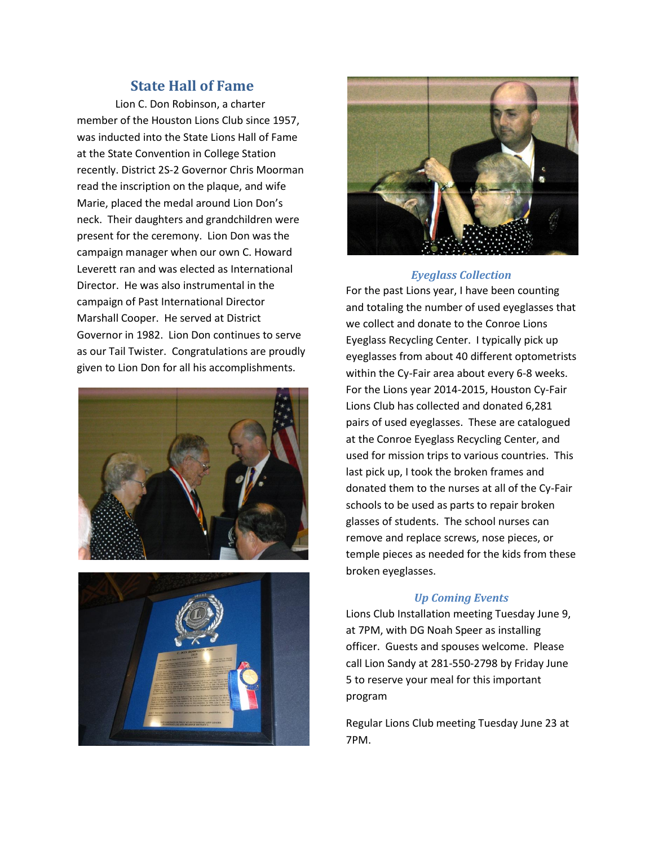### **State Hall of Fame**

Lion C. Don Robinson, a charter member of the Houston Lions Club since 1957, was inducted into the State Lions Hall of Fame at the State Convention in College Station recently. District 2S-2 Governor Chris Moorman read the inscription on the plaque, and wife Marie, placed the medal around Lion Don's neck. Their daughters and grandchildren were present for the ceremony. Lion Don was the campaign manager when our own C. Howard Leverett ran and was elected as International Director. He was also instrumental in the campaign of Past International Director Marshall Cooper. He served at District Governor in 1982. Lion Don continues to serve as our Tail Twister. Congratulations are proudly given to Lion Don for all his accomplishments.







#### *Eyeglass Collection*

For the past Lions year, I have been counting and totaling the number of used eyeglasses that we collect and donate to the Conroe Lions Eyeglass Recycling Center. I typically pick up eyeglasses from about 40 different optometrists within the Cy-Fair area about every 6-8 weeks. For the Lions year 2014-2015, Houston Cy-Fair Lions Club has collected and donated 6,281 pairs of used eyeglasses. These are catalogued at the Conroe Eyeglass Recycling Center, and used for mission trips to various countries. This last pick up, I took the broken frames and donated them to the nurses at all of the Cy-Fair schools to be used as parts to repair broken glasses of students. The school nurses can remove and replace screws, nose pieces, or temple pieces as needed for the kids from these broken eyeglasses.

#### *Up Coming Events*

Lions Club Installation meeting Tuesday June 9, at 7PM, with DG Noah Speer as installing officer. Guests and spouses welcome. Please call Lion Sandy at 281-550-2798 by Friday June 5 to reserve your meal for this important program

Regular Lions Club meeting Tuesday June 23 at 7PM.